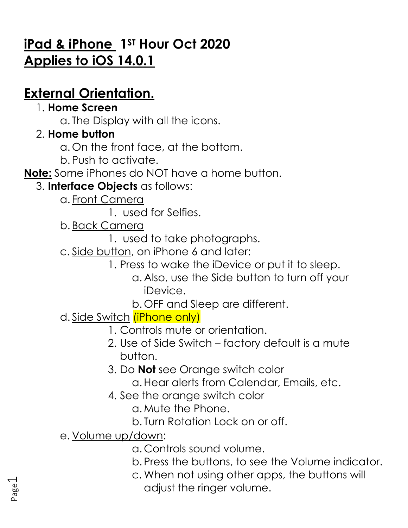# **iPad & iPhone 1ST Hour Oct 2020 Applies to iOS 14.0.1**

# **External Orientation.**

### 1. **Home Screen**

a. The Display with all the icons.

## 2. **Home button**

- a. On the front face, at the bottom.
- b. Push to activate.

**Note:** Some iPhones do NOT have a home button.

## 3. **Interface Objects** as follows:

a. Front Camera

1. used for Selfies.

- b. Back Camera
	- 1. used to take photographs.
- c. Side button, on iPhone 6 and later:
	- 1. Press to wake the iDevice or put it to sleep.
		- a. Also, use the Side button to turn off your iDevice.
		- b. OFF and Sleep are different.
- d. Side Switch (iPhone only)
	- 1. Controls mute or orientation.
	- 2. Use of Side Switch factory default is a mute button.
	- 3. Do **Not** see Orange switch color
		- a.Hear alerts from Calendar, Emails, etc.
	- 4. See the orange switch color
		- a. Mute the Phone.
		- b. Turn Rotation Lock on or off.
- e. Volume up/down:
	- a. Controls sound volume.
	- b. Press the buttons, to see the Volume indicator.
	- c. When not using other apps, the buttons will adjust the ringer volume.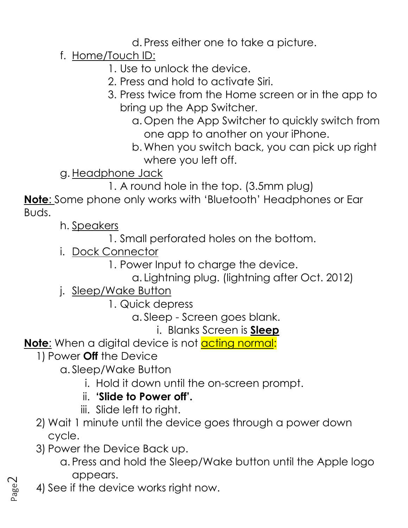d. Press either one to take a picture.

## f. Home/Touch ID:

1. Use to unlock the device.

- 2. Press and hold to activate Siri.
- 3. Press twice from the Home screen or in the app to bring up the App Switcher.
	- a. Open the App Switcher to quickly switch from one app to another on your iPhone.
	- b. When you switch back, you can pick up right where you left off.
- g. Headphone Jack
	- 1. A round hole in the top. (3.5mm plug)

**Note**: Some phone only works with 'Bluetooth' Headphones or Ear Buds.

h. Speakers

- 1. Small perforated holes on the bottom.
- i. Dock Connector
	- 1. Power Input to charge the device.
		- a. Lightning plug. (lightning after Oct. 2012)
- j. Sleep/Wake Button
	- 1. Quick depress
		- a. Sleep Screen goes blank.
			- i. Blanks Screen is **Sleep**

Note: When a digital device is not **acting normal:** 

- 1) Power **Off** the Device
	- a. Sleep/Wake Button
		- i. Hold it down until the on-screen prompt.
		- ii. **'Slide to Power off'.**
		- iii. Slide left to right.
- 2) Wait 1 minute until the device goes through a power down cycle.
- 3) Power the Device Back up.
	- a. Press and hold the Sleep/Wake button until the Apple logo appears.
- 4) See if the device works right now.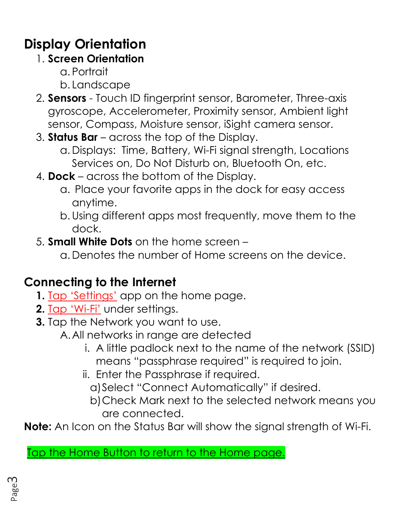# **Display Orientation**

## 1. **Screen Orientation**

- a. Portrait
- b. Landscape
- 2. **Sensors** Touch ID fingerprint sensor, Barometer, Three-axis gyroscope, Accelerometer, Proximity sensor, Ambient light sensor, Compass, Moisture sensor, iSight camera sensor.
- 3. **Status Bar** across the top of the Display.
	- a. Displays: Time, Battery, Wi-Fi signal strength, Locations Services on, Do Not Disturb on, Bluetooth On, etc.
- 4. **Dock** across the bottom of the Display.
	- a. Place your favorite apps in the dock for easy access anytime.
	- b.Using different apps most frequently, move them to the dock.
- 5. **Small White Dots** on the home screen
	- a. Denotes the number of Home screens on the device.

## **Connecting to the Internet**

- **1.** Tap 'Settings' app on the home page.
- **2.** Tap 'Wi-Fi' under settings.
- **3.** Tap the Network you want to use.
	- A.All networks in range are detected
		- i. A little padlock next to the name of the network (SSID) means "passphrase required" is required to join.
		- ii. Enter the Passphrase if required.
			- a)Select "Connect Automatically" if desired.
			- b)Check Mark next to the selected network means you are connected.

**Note:** An Icon on the Status Bar will show the signal strength of Wi-Fi.

## Tap the Home Button to return to the Home page.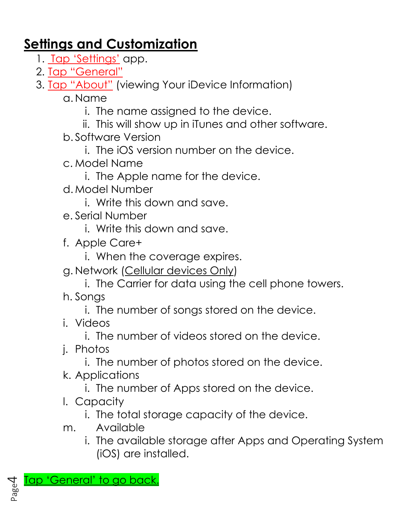## **Settings and Customization**

- 1. Tap 'Settings' app.
- 2. Tap "General"
- 3. **Tap "About"** (viewing Your iDevice Information)
	- a. Name
		- i. The name assigned to the device.
		- ii. This will show up in iTunes and other software.
	- b. Software Version
		- i. The iOS version number on the device.
	- c. Model Name
		- i. The Apple name for the device.
	- d. Model Number
		- i. Write this down and save.
	- e. Serial Number
		- i. Write this down and save.
	- f. Apple Care+
		- i. When the coverage expires.
	- g. Network (Cellular devices Only)
		- i. The Carrier for data using the cell phone towers.
	- h. Songs
		- i. The number of songs stored on the device.
	- i. Videos
		- i. The number of videos stored on the device.
	- j. Photos
		- i. The number of photos stored on the device.
	- k. Applications
		- i. The number of Apps stored on the device.
	- l. Capacity
		- i. The total storage capacity of the device.
	- m. Available
		- i. The available storage after Apps and Operating System (iOS) are installed.

Tap 'General' to go back.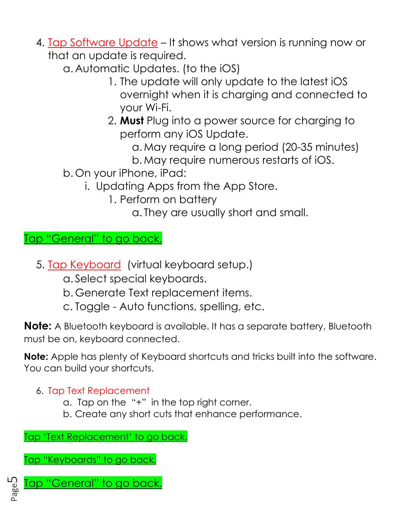- 4. Tap Software Update It shows what version is running now or that an update is required.
	- a. Automatic Updates. (to the iOS)
		- 1. The update will only update to the latest iOS overnight when it is charging and connected to your Wi-Fi.
		- 2. **Must** Plug into a power source for charging to perform any iOS Update.
			- a. May require a long period (20-35 minutes) b. May require numerous restarts of iOS.
	- b. On your iPhone, iPad:
		- i. Updating Apps from the App Store.
			- 1. Perform on battery
				- a. They are usually short and small.

Tap "General" to go back.

- 5. Tap Keyboard (virtual keyboard setup.)
	- a. Select special keyboards.
	- b. Generate Text replacement items.
	- c. Toggle Auto functions, spelling, etc.

**Note:** A Bluetooth keyboard is available. It has a separate battery, Bluetooth must be on, keyboard connected.

**Note:** Apple has plenty of Keyboard shortcuts and tricks built into the software. You can build your shortcuts.

#### 6. Tap Text Replacement

- a. Tap on the "+" in the top right corner.
- b. Create any short cuts that enhance performance.

Tap 'Text Replacement' to go back.

Tap "Keyboards" to go back.

Tap "General" to go back.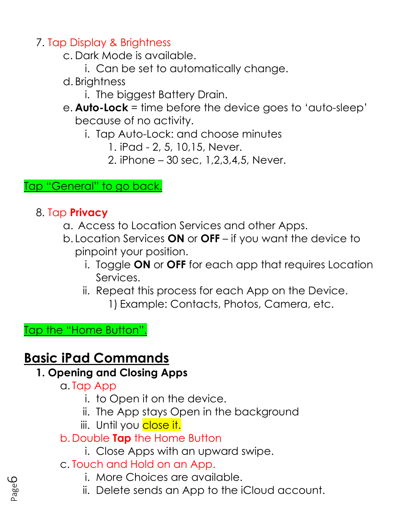7. Tap Display & Brightness

c. Dark Mode is available.

- i. Can be set to automatically change.
- d. Brightness
	- i. The biggest Battery Drain.
- e. **Auto-Lock** = time before the device goes to 'auto-sleep' because of no activity.
	- i. Tap Auto-Lock: and choose minutes
		- 1. iPad 2, 5, 10,15, Never.
		- 2. iPhone 30 sec, 1,2,3,4,5, Never.

Tap "General" to go back.

### 8. Tap **Privacy**

- a. Access to Location Services and other Apps.
- b. Location Services **ON** or **OFF** if you want the device to pinpoint your position.
	- i. Toggle **ON** or **OFF** for each app that requires Location Services.
	- ii. Repeat this process for each App on the Device. 1) Example: Contacts, Photos, Camera, etc.

Tap the "Home Button".

## **Basic iPad Commands**

## **1. Opening and Closing Apps**

- a. Tap App
	- i. to Open it on the device.
	- ii. The App stays Open in the background
	- iii. Until you close it.
- b. Double **Tap** the Home Button
	- i. Close Apps with an upward swipe.
- c. Touch and Hold on an App.
	- i. More Choices are available.
	- ii. Delete sends an App to the iCloud account.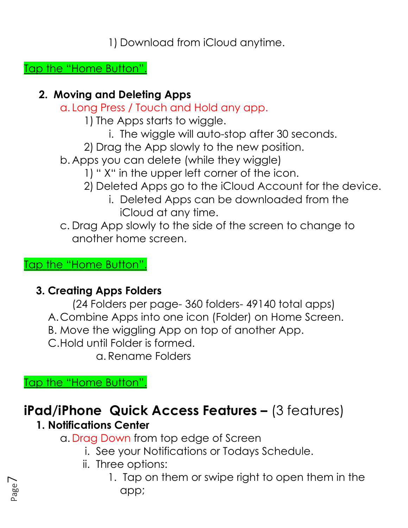1) Download from iCloud anytime.

Tap the "Home Button".

### **2. Moving and Deleting Apps**

- a. Long Press / Touch and Hold any app.
	- 1) The Apps starts to wiggle.
		- i. The wiggle will auto-stop after 30 seconds.
	- 2) Drag the App slowly to the new position.
- b. Apps you can delete (while they wiggle)
	- 1) " X" in the upper left corner of the icon.
	- 2) Deleted Apps go to the iCloud Account for the device.
		- i. Deleted Apps can be downloaded from the iCloud at any time.
- c. Drag App slowly to the side of the screen to change to another home screen.

### Tap the "Home Button".

### **3. Creating Apps Folders**

- (24 Folders per page- 360 folders- 49140 total apps)
- A.Combine Apps into one icon (Folder) on Home Screen.
- B. Move the wiggling App on top of another App.
- C.Hold until Folder is formed.

a. Rename Folders

Tap the "Home Button".

# **iPad/iPhone Quick Access Features –** (3 features)

## **1. Notifications Center**

a. Drag Down from top edge of Screen

- i. See your Notifications or Todays Schedule.
- ii. Three options:
	- 1. Tap on them or swipe right to open them in the app;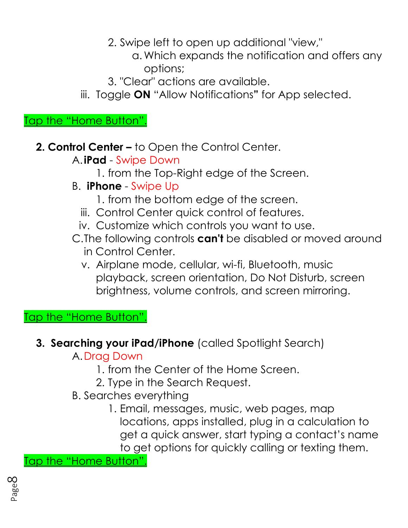2. Swipe left to open up additional "view,"

- a. Which expands the notification and offers any options;
- 3. "Clear" actions are available.
- iii. Toggle **ON** "Allow Notifications**"** for App selected.

Tap the "Home Button".

- **2. Control Center –** to Open the Control Center.
	- A.**iPad** Swipe Down
		- 1. from the Top-Right edge of the Screen.
	- B. **iPhone** Swipe Up
		- 1. from the bottom edge of the screen.
		- iii. Control Center quick control of features.
		- iv. Customize which controls you want to use.
	- C.The following controls **can't** be disabled or moved around in Control Center.
		- v. Airplane mode, cellular, wi-fi, Bluetooth, music playback, screen orientation, Do Not Disturb, screen brightness, volume controls, and screen mirroring.

Tap the "Home Button".

**3. Searching your iPad/iPhone** (called Spotlight Search)

A.Drag Down

- 1. from the Center of the Home Screen.
- 2. Type in the Search Request.
- B. Searches everything
	- 1. Email, messages, music, web pages, map locations, apps installed, plug in a calculation to get a quick answer, start typing a contact's name to get options for quickly calling or texting them.

Tap the "Home Button".